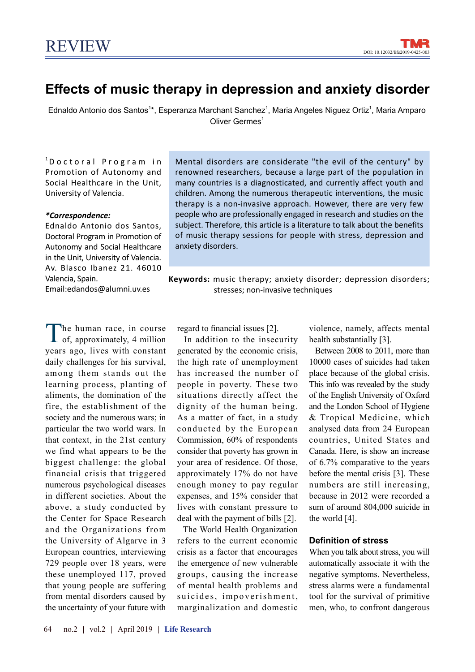# Effects of music therapy in depression and anxiety disorder

Ednaldo Antonio dos Santos<sup>1\*</sup>, Esperanza Marchant Sanchez<sup>1</sup>, Maria Angeles Niguez Ortiz<sup>1</sup>, Maria Amparo Oliver Germes<sup>1</sup>

 $1$ D o c t o r a l P r o g r a m in Promotion of Autonomy and Social Healthcare in the Unit, University of Valencia.

#### \*Correspondence:

Ednaldo Antonio dos Santos, Doctoral Program in Promotion of Autonomy and Social Healthcare in the Unit, University of Valencia. Av. Blasco Ibanez 21. 46010 Valencia, Spain.

Email:edandos@alumni.uv.es

The human race, in course<br>of, approximately, 4 million he human race, in course years ago, lives with constant daily challenges for his survival, among them stands out the learning process, planting of aliments, the domination of the fire, the establishment of the society and the numerous wars; in particular the two world wars. In that context, in the 21st century we find what appears to be the biggest challenge: the global financial crisis that triggered numerous psychological diseases in different societies. About the above, a study conducted by the Center for Space Research and the Organizations from the University of Algarve in 3 European countries, interviewing 729 people over 18 years, were these unemployed 117, proved that young people are suffering from mental disorders caused by the uncertainty of your future with

regard to financial issues [2].

 In addition to the insecurity generated by the economic crisis, the high rate of unemployment has increased the number of people in poverty. These two situations directly affect the dignity of the human being. As a matter of fact, in a study conducted by the European Commission, 60% of respondents consider that poverty has grown in your area of residence. Of those, approximately 17% do not have enough money to pay regular expenses, and 15% consider that lives with constant pressure to deal with the payment of bills [2].

 The World Health Organization refers to the current economic crisis as a factor that encourages the emergence of new vulnerable groups, causing the increase of mental health problems and suicides, impoverishment, marginalization and domestic violence, namely, affects mental health substantially [3].

 Between 2008 to 2011, more than 10000 cases of suicides had taken place because of the global crisis. This info was revealed by the study of the English University of Oxford and the London School of Hygiene & Tropical Medicine, which analysed data from 24 European countries, United States and Canada. Here, is show an increase of 6.7% comparative to the years before the mental crisis [3]. These numbers are still increasing, because in 2012 were recorded a sum of around 804,000 suicide in the world [4].

#### Definition of stress

When you talk about stress, you will automatically associate it with the negative symptoms. Nevertheless, stress alarms were a fundamental tool for the survival of primitive men, who, to confront dangerous

renowned researchers, because a large part of the population in many countries is a diagnosticated, and currently affect youth and children. Among the numerous therapeutic interventions, the music therapy is a non-invasive approach. However, there are very few people who are professionally engaged in research and studies on the subject. Therefore, this article is a literature to talk about the benefits of music therapy sessions for people with stress, depression and anxiety disorders.

Keywords: music therapy; anxiety disorder; depression disorders;

stresses; non-invasive techniques

Mental disorders are considerate "the evil of the century" by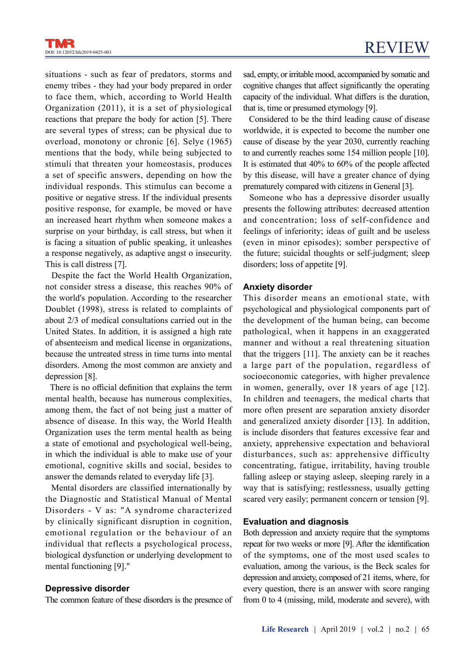situations - such as fear of predators, storms and enemy tribes - they had your body prepared in order to face them, which, according to World Health Organization (2011), it is a set of physiological reactions that prepare the body for action [5]. There are several types of stress; can be physical due to overload, monotony or chronic [6]. Selye (1965) mentions that the body, while being subjected to stimuli that threaten your homeostasis, produces a set of specific answers, depending on how the individual responds. This stimulus can become a positive or negative stress. If the individual presents positive response, for example, be moved or have an increased heart rhythm when someone makes a surprise on your birthday, is call stress, but when it is facing a situation of public speaking, it unleashes a response negatively, as adaptive angst o insecurity. This is call distress [7].

 Despite the fact the World Health Organization, not consider stress a disease, this reaches 90% of the world's population. According to the researcher Doublet (1998), stress is related to complaints of about 2/3 of medical consultations carried out in the United States. In addition, it is assigned a high rate of absenteeism and medical license in organizations, because the untreated stress in time turns into mental disorders. Among the most common are anxiety and depression [8].

There is no official definition that explains the term mental health, because has numerous complexities, among them, the fact of not being just a matter of absence of disease. In this way, the World Health Organization uses the term mental health as being a state of emotional and psychological well-being, in which the individual is able to make use of your emotional, cognitive skills and social, besides to answer the demands related to everyday life [3].

 Mental disorders are classified internationally by the Diagnostic and Statistical Manual of Mental Disorders - V as: "A syndrome characterized by clinically significant disruption in cognition, emotional regulation or the behaviour of an individual that reflects a psychological process, biological dysfunction or underlying development to mental functioning [9]."

#### Depressive disorder

The common feature of these disorders is the presence of

sad, empty, or irritable mood, accompanied by somatic and cognitive changes that affect significantly the operating capacity of the individual. What differs is the duration, that is, time or presumed etymology [9].

 Considered to be the third leading cause of disease worldwide, it is expected to become the number one cause of disease by the year 2030, currently reaching to and currently reaches some 154 million people [10]. It is estimated that  $40\%$  to  $60\%$  of the people affected by this disease, will have a greater chance of dying prematurely compared with citizens in General [3].

 Someone who has a depressive disorder usually presents the following attributes: decreased attention and concentration; loss of self-confidence and feelings of inferiority; ideas of guilt and be useless (even in minor episodes); somber perspective of the future; suicidal thoughts or self-judgment; sleep disorders; loss of appetite [9].

#### Anxiety disorder

This disorder means an emotional state, with psychological and physiological components part of the development of the human being, can become pathological, when it happens in an exaggerated manner and without a real threatening situation that the triggers [11]. The anxiety can be it reaches a large part of the population, regardless of socioeconomic categories, with higher prevalence in women, generally, over 18 years of age [12]. In children and teenagers, the medical charts that more often present are separation anxiety disorder and generalized anxiety disorder [13]. In addition, is include disorders that features excessive fear and anxiety, apprehensive expectation and behavioral disturbances, such as: apprehensive difficulty concentrating, fatigue, irritability, having trouble falling asleep or staying asleep, sleeping rarely in a way that is satisfying; restlessness, usually getting scared very easily; permanent concern or tension [9].

#### Evaluation and diagnosis

Both depression and anxiety require that the symptoms repeat for two weeks or more [9]. After the identification of the symptoms, one of the most used scales to evaluation, among the various, is the Beck scales for depression and anxiety, composed of 21 items, where, for every question, there is an answer with score ranging from 0 to 4 (missing, mild, moderate and severe), with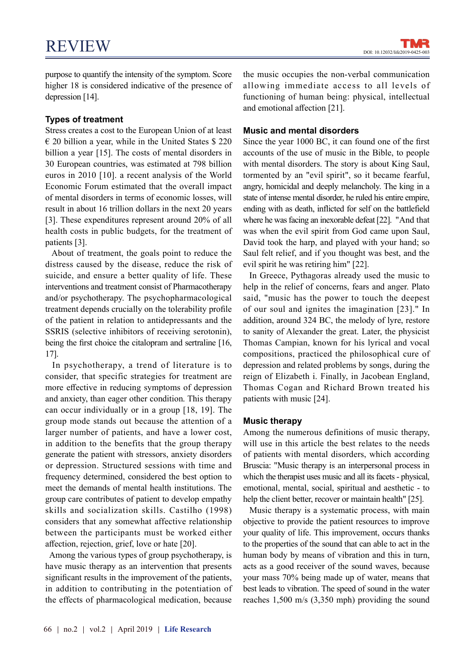purpose to quantify the intensity of the symptom. Score higher 18 is considered indicative of the presence of depression [14].

# Types of treatment

Stress creates a cost to the European Union of at least  $\epsilon$  20 billion a year, while in the United States \$ 220 billion a year [15]. The costs of mental disorders in 30 European countries, was estimated at 798 billion euros in 2010 [10]. a recent analysis of the World Economic Forum estimated that the overall impact of mental disorders in terms of economic losses, will result in about 16 trillion dollars in the next 20 years [3]. These expenditures represent around 20% of all health costs in public budgets, for the treatment of patients [3].

 About of treatment, the goals point to reduce the distress caused by the disease, reduce the risk of suicide, and ensure a better quality of life. These interventions and treatment consist of Pharmacotherapy and/or psychotherapy. The psychopharmacological treatment depends crucially on the tolerability profile of the patient in relation to antidepressants and the SSRIS (selective inhibitors of receiving serotonin), being the first choice the citalopram and sertraline [16, 17].

 In psychotherapy, a trend of literature is to consider, that specific strategies for treatment are more effective in reducing symptoms of depression and anxiety, than eager other condition. This therapy can occur individually or in a group [18, 19]. The group mode stands out because the attention of a larger number of patients, and have a lower cost, in addition to the benefits that the group therapy generate the patient with stressors, anxiety disorders or depression. Structured sessions with time and frequency determined, considered the best option to meet the demands of mental health institutions. The group care contributes of patient to develop empathy skills and socialization skills. Castilho (1998) considers that any somewhat affective relationship between the participants must be worked either affection, rejection, grief, love or hate [20].

 Among the various types of group psychotherapy, is have music therapy as an intervention that presents significant results in the improvement of the patients, in addition to contributing in the potentiation of the effects of pharmacological medication, because

the music occupies the non-verbal communication allowing immediate access to all levels of functioning of human being: physical, intellectual and emotional affection  $[21]$ .

# Music and mental disorders

Since the year 1000 BC, it can found one of the first accounts of the use of music in the Bible, to people with mental disorders. The story is about King Saul, tormented by an "evil spirit", so it became fearful, angry, homicidal and deeply melancholy. The king in a state of intense mental disorder, he ruled his entire empire, ending with as death, inflicted for self on the battlefield where he was facing an inexorable defeat [22]. "And that was when the evil spirit from God came upon Saul, David took the harp, and played with your hand; so Saul felt relief, and if you thought was best, and the evil spirit he was retiring him" [22].

 In Greece, Pythagoras already used the music to help in the relief of concerns, fears and anger. Plato said, "music has the power to touch the deepest of our soul and ignites the imagination [23]." In addition, around 324 BC, the melody of lyre, restore to sanity of Alexander the great. Later, the physicist Thomas Campian, known for his lyrical and vocal compositions, practiced the philosophical cure of depression and related problems by songs, during the reign of Elizabeth i. Finally, in Jacobean England, Thomas Cogan and Richard Brown treated his patients with music [24].

# Music therapy

Among the numerous definitions of music therapy, will use in this article the best relates to the needs of patients with mental disorders, which according Bruscia: "Music therapy is an interpersonal process in which the therapist uses music and all its facets - physical, emotional, mental, social, spiritual and aesthetic - to help the client better, recover or maintain health" [25].

 Music therapy is a systematic process, with main objective to provide the patient resources to improve your quality of life. This improvement, occurs thanks to the properties of the sound that can able to act in the human body by means of vibration and this in turn, acts as a good receiver of the sound waves, because your mass 70% being made up of water, means that best leads to vibration. The speed of sound in the water reaches 1,500 m/s (3,350 mph) providing the sound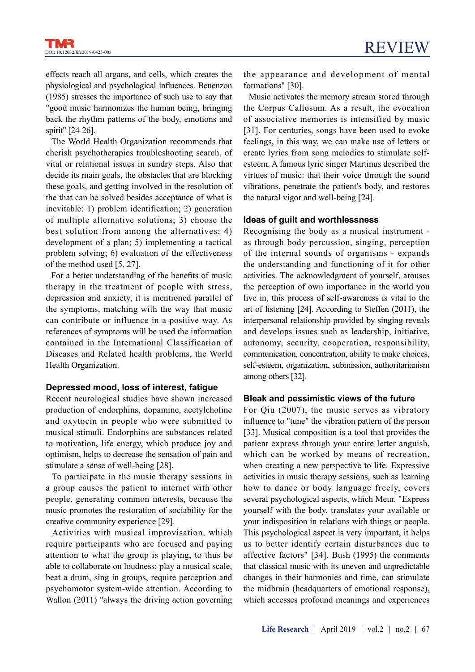effects reach all organs, and cells, which creates the physiological and psychological influences. Benenzon (1985) stresses the importance of such use to say that "good music harmonizes the human being, bringing back the rhythm patterns of the body, emotions and spirit" [24-26].

 The World Health Organization recommends that cherish psychotherapies troubleshooting search, of vital or relational issues in sundry steps. Also that decide its main goals, the obstacles that are blocking these goals, and getting involved in the resolution of the that can be solved besides acceptance of what is inevitable: 1) problem identification; 2) generation of multiple alternative solutions; 3) choose the best solution from among the alternatives; 4) development of a plan; 5) implementing a tactical problem solving; 6) evaluation of the effectiveness of the method used [5, 27].

For a better understanding of the benefits of music therapy in the treatment of people with stress, depression and anxiety, it is mentioned parallel of the symptoms, matching with the way that music can contribute or influence in a positive way. As references of symptoms will be used the information contained in the International Classification of Diseases and Related health problems, the World Health Organization.

# Depressed mood, loss of interest, fatigue

Recent neurological studies have shown increased production of endorphins, dopamine, acetylcholine and oxytocin in people who were submitted to musical stimuli. Endorphins are substances related to motivation, life energy, which produce joy and optimism, helps to decrease the sensation of pain and stimulate a sense of well-being [28].

 To participate in the music therapy sessions in a group causes the patient to interact with other people, generating common interests, because the music promotes the restoration of sociability for the creative community experience [29].

 Activities with musical improvisation, which require participants who are focused and paying attention to what the group is playing, to thus be able to collaborate on loudness; play a musical scale, beat a drum, sing in groups, require perception and psychomotor system-wide attention. According to Wallon (2011) "always the driving action governing the appearance and development of mental formations" [30].

 Music activates the memory stream stored through the Corpus Callosum. As a result, the evocation of associative memories is intensified by music [31]. For centuries, songs have been used to evoke feelings, in this way, we can make use of letters or create lyrics from song melodies to stimulate selfesteem. A famous lyric singer Martinus described the virtues of music: that their voice through the sound vibrations, penetrate the patient's body, and restores the natural vigor and well-being [24].

#### Ideas of guilt and worthlessness

Recognising the body as a musical instrument as through body percussion, singing, perception of the internal sounds of organisms - expands the understanding and functioning of it for other activities. The acknowledgment of yourself, arouses the perception of own importance in the world you live in, this process of self-awareness is vital to the art of listening [24]. According to Steffen (2011), the interpersonal relationship provided by singing reveals and develops issues such as leadership, initiative, autonomy, security, cooperation, responsibility, communication, concentration, ability to make choices, self-esteem, organization, submission, authoritarianism among others [32].

# Bleak and pessimistic views of the future

For Qiu (2007), the music serves as vibratory influence to "tune" the vibration pattern of the person [33]. Musical composition is a tool that provides the patient express through your entire letter anguish, which can be worked by means of recreation, when creating a new perspective to life. Expressive activities in music therapy sessions, such as learning how to dance or body language freely, covers several psychological aspects, which Meur. "Express yourself with the body, translates your available or your indisposition in relations with things or people. This psychological aspect is very important, it helps us to better identify certain disturbances due to affective factors" [34]. Bush (1995) the comments that classical music with its uneven and unpredictable changes in their harmonies and time, can stimulate the midbrain (headquarters of emotional response), which accesses profound meanings and experiences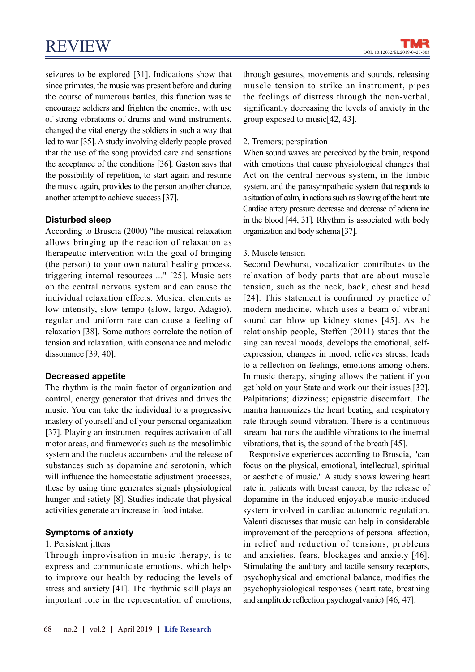seizures to be explored [31]. Indications show that since primates, the music was present before and during the course of numerous battles, this function was to encourage soldiers and frighten the enemies, with use of strong vibrations of drums and wind instruments, changed the vital energy the soldiers in such a way that led to war [35]. A study involving elderly people proved that the use of the song provided care and sensations the acceptance of the conditions [36]. Gaston says that the possibility of repetition, to start again and resume the music again, provides to the person another chance, another attempt to achieve success [37].

# Disturbed sleep

According to Bruscia (2000) "the musical relaxation allows bringing up the reaction of relaxation as therapeutic intervention with the goal of bringing (the person) to your own natural healing process, triggering internal resources ..." [25]. Music acts on the central nervous system and can cause the individual relaxation effects. Musical elements as low intensity, slow tempo (slow, largo, Adagio), regular and uniform rate can cause a feeling of relaxation [38]. Some authors correlate the notion of tension and relaxation, with consonance and melodic dissonance [39, 40].

# Decreased appetite

The rhythm is the main factor of organization and control, energy generator that drives and drives the music. You can take the individual to a progressive mastery of yourself and of your personal organization [37]. Playing an instrument requires activation of all motor areas, and frameworks such as the mesolimbic system and the nucleus accumbens and the release of substances such as dopamine and serotonin, which will influence the homeostatic adjustment processes, these by using time generates signals physiological hunger and satiety [8]. Studies indicate that physical activities generate an increase in food intake.

# Symptoms of anxiety

# 1. Persistent jitters

Through improvisation in music therapy, is to express and communicate emotions, which helps to improve our health by reducing the levels of stress and anxiety [41]. The rhythmic skill plays an important role in the representation of emotions,

through gestures, movements and sounds, releasing muscle tension to strike an instrument, pipes the feelings of distress through the non-verbal, significantly decreasing the levels of anxiety in the group exposed to music[42, 43].

# 2. Tremors; perspiration

When sound waves are perceived by the brain, respond with emotions that cause physiological changes that Act on the central nervous system, in the limbic system, and the parasympathetic system that responds to a situation of calm, in actions such as slowing of the heart rate Cardiac artery pressure decrease and decrease of adrenaline in the blood [44, 31]. Rhythm is associated with body organization and body schema [37].

# 3. Muscle tension

Second Dewhurst, vocalization contributes to the relaxation of body parts that are about muscle tension, such as the neck, back, chest and head [24]. This statement is confirmed by practice of modern medicine, which uses a beam of vibrant sound can blow up kidney stones [45]. As the relationship people, Steffen (2011) states that the sing can reveal moods, develops the emotional, selfexpression, changes in mood, relieves stress, leads to a reflection on feelings, emotions among others. In music therapy, singing allows the patient if you get hold on your State and work out their issues [32]. Palpitations; dizziness; epigastric discomfort. The mantra harmonizes the heart beating and respiratory rate through sound vibration. There is a continuous stream that runs the audible vibrations to the internal vibrations, that is, the sound of the breath [45].

 Responsive experiences according to Bruscia, "can focus on the physical, emotional, intellectual, spiritual or aesthetic of music." A study shows lowering heart rate in patients with breast cancer, by the release of dopamine in the induced enjoyable music-induced system involved in cardiac autonomic regulation. Valenti discusses that music can help in considerable improvement of the perceptions of personal affection, in relief and reduction of tensions, problems and anxieties, fears, blockages and anxiety [46]. Stimulating the auditory and tactile sensory receptors, psychophysical and emotional balance, modifies the psychophysiological responses (heart rate, breathing and amplitude reflection psychogalvanic) [46, 47].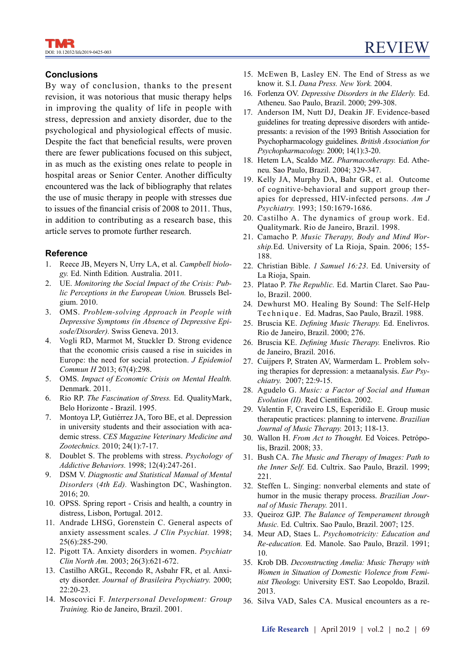# **Conclusions**

By way of conclusion, thanks to the present revision, it was notorious that music therapy helps in improving the quality of life in people with stress, depression and anxiety disorder, due to the psychological and physiological effects of music. Despite the fact that beneficial results, were proven there are fewer publications focused on this subject, in as much as the existing ones relate to people in hospital areas or Senior Center. Another difficulty encountered was the lack of bibliography that relates the use of music therapy in people with stresses due to issues of the financial crisis of 2008 to 2011. Thus, in addition to contributing as a research base, this article serves to promote further research.

# Reference

- 1. Reece JB, Meyers N, Urry LA, et al. Campbell biology. Ed. Ninth Edition. Australia. 2011.
- 2. UE. Monitoring the Social Impact of the Crisis: Public Perceptions in the European Union. Brussels Belgium. 2010.
- 3. OMS. Problem-solving Approach in People with Depressive Symptoms (in Absence of Depressive Episode/Disorder). Swiss Geneva. 2013.
- 4. Vogli RD, Marmot M, Stuckler D. Strong evidence that the economic crisis caused a rise in suicides in Europe: the need for social protection. J Epidemiol Commun H 2013; 67(4):298.
- 5. OMS. Impact of Economic Crisis on Mental Health. Denmark. 2011.
- 6. Rio RP. The Fascination of Stress. Ed. QualityMark, Belo Horizonte - Brazil. 1995.
- 7. Montoya LP, Gutiérrez JA, Toro BE, et al. Depression in university students and their association with academic stress. CES Magazine Veterinary Medicine and Zootechnics. 2010; 24(1):7-17.
- 8. Doublet S. The problems with stress. Psychology of Addictive Behaviors. 1998; 12(4):247-261.
- 9. DSM V. Diagnostic and Statistical Manual of Mental Disorders (4th Ed). Washington DC, Washington. 2016; 20.
- 10. OPSS. Spring report Crisis and health, a country in distress, Lisbon, Portugal. 2012.
- 11. Andrade LHSG, Gorenstein C. General aspects of anxiety assessment scales. J Clin Psychiat. 1998; 25(6):285-290.
- 12. Pigott TA. Anxiety disorders in women. Psychiatr Clin North Am. 2003; 26(3):621-672.
- 13. Castilho ARGL, Recondo R, Asbahr FR, et al. Anxiety disorder. Journal of Brasileira Psychiatry. 2000; 22:20-23.
- 14. Moscovici F. Interpersonal Development: Group Training. Rio de Janeiro, Brazil. 2001.
- 15. McEwen B, Lasley EN. The End of Stress as we know it. S.I. Dana Press. New York. 2004.
- 16. Forlenza OV. Depressive Disorders in the Elderly. Ed. Atheneu. Sao Paulo, Brazil. 2000; 299-308.
- 17. Anderson IM, Nutt DJ, Deakin JF. Evidence-based guidelines for treating depressive disorders with antidepressants: a revision of the 1993 British Association for Psychopharmacology guidelines. British Association for Psychopharmacology. 2000; 14(1):3-20.
- 18. Hetem LA, Scaldo MZ. Pharmacotherapy. Ed. Atheneu. Sao Paulo, Brazil. 2004; 329-347.
- 19. Kelly JA, Murphy DA, Bahr GR, et al. Outcome of cognitive-behavioral and support group therapies for depressed, HIV-infected persons. Am J Psychiatry. 1993; 150:1679-1686.
- 20. Castilho A. The dynamics of group work. Ed. Qualitymark. Rio de Janeiro, Brazil. 1998.
- 21. Camacho P. Music Therapy, Body and Mind Worship.Ed. University of La Rioja, Spain. 2006; 155- 188.
- 22. Christian Bible. 1 Samuel 16:23. Ed. University of La Rioja, Spain.
- 23. Platao P. The Republic. Ed. Martin Claret. Sao Paulo, Brazil. 2000.
- 24. Dewhurst MO. Healing By Sound: The Self-Help Te chnique. Ed. Madras, Sao Paulo, Brazil. 1988.
- 25. Bruscia KE. Defining Music Therapy. Ed. Enelivros. Rio de Janeiro, Brazil. 2000; 276.
- 26. Bruscia KE. Defining Music Therapy. Enelivros. Rio de Janeiro, Brazil. 2016.
- 27. Cuijpers P, Straten AV, Warmerdam L. Problem solving therapies for depression: a metaanalysis. Eur Psychiatry. 2007; 22:9-15.
- 28. Agudelo G. Music: a Factor of Social and Human Evolution (II). Red Científica. 2002.
- 29. Valentin F, Craveiro LS, Esperidião E. Group music therapeutic practices: planning to intervene. Brazilian Journal of Music Therapy. 2013; 118-13.
- 30. Wallon H. From Act to Thought. Ed Voices. Petrópolis, Brazil. 2008; 33.
- 31. Bush CA. The Music and Therapy of Images: Path to the Inner Self. Ed. Cultrix. Sao Paulo, Brazil. 1999; 221.
- 32. Steffen L. Singing: nonverbal elements and state of humor in the music therapy process. Brazilian Journal of Music Therapy. 2011.
- 33. Queiroz GJP. The Balance of Temperament through Music. Ed. Cultrix. Sao Paulo, Brazil. 2007; 125.
- 34. Meur AD, Staes L. Psychomotricity: Education and Re-education. Ed. Manole. Sao Paulo, Brazil. 1991; 10.
- 35. Krob DB. Deconstructing Amelia: Music Therapy with Women in Situation of Domestic Violence from Feminist Theology. University EST. Sao Leopoldo, Brazil. 2013.
- 36. Silva VAD, Sales CA. Musical encounters as a re-